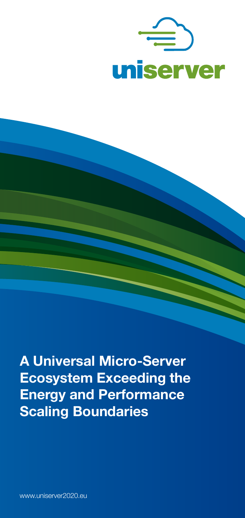

**A Universal Micro-Server Ecosystem Exceeding the Energy and Performance Scaling Boundaries**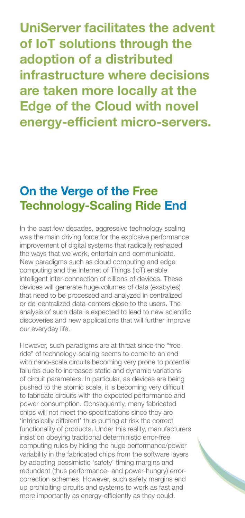**UniServer facilitates the advent of IoT solutions through the adoption of a distributed infrastructure where decisions are taken more locally at the Edge of the Cloud with novel energy-efficient micro-servers.** 

## **On the Verge of the Free Technology-Scaling Ride End**

In the past few decades, aggressive technology scaling was the main driving force for the explosive performance improvement of digital systems that radically reshaped the ways that we work, entertain and communicate. New paradigms such as cloud computing and edge computing and the Internet of Things (IoT) enable intelligent inter-connection of billions of devices. These devices will generate huge volumes of data (exabytes) that need to be processed and analyzed in centralized or de-centralized data-centers close to the users. The analysis of such data is expected to lead to new scientific discoveries and new applications that will further improve our everyday life.

However, such paradigms are at threat since the "freeride" of technology-scaling seems to come to an end with nano-scale circuits becoming very prone to potential failures due to increased static and dynamic variations of circuit parameters. In particular, as devices are being pushed to the atomic scale, it is becoming very difficult to fabricate circuits with the expected performance and power consumption. Consequently, many fabricated chips will not meet the specifications since they are 'intrinsically different' thus putting at risk the correct functionality of products. Under this reality, manufacturers insist on obeying traditional deterministic error-free computing rules by hiding the huge performance/power variability in the fabricated chips from the software layers by adopting pessimistic 'safety' timing margins and redundant (thus performance- and power-hungry) errorcorrection schemes. However, such safety margins end up prohibiting circuits and systems to work as fast and more importantly as energy-efficiently as they could.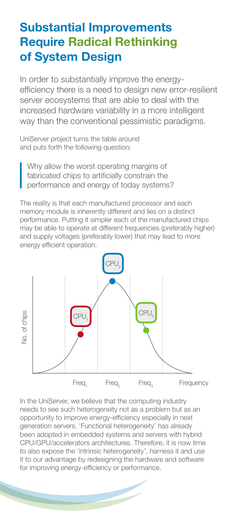## **Substantial Improvements Require Radical Rethinking of System Design**

In order to substantially improve the energyefficiency there is a need to design new error-resilient server ecosystems that are able to deal with the increased hardware variability in a more intelligent way than the conventional pessimistic paradigms.

UniServer project turns the table around and puts forth the following question:

Why allow the worst operating margins of fabricated chips to artificially constrain the performance and energy of today systems?

The reality is that each manufactured processor and each memory module is inherently different and lies on a distinct performance. Putting it simpler each of the manufactured chips may be able to operate at different frequencies (preferably higher) and supply voltages (preferably lower) that may lead to more energy efficient operation.



In the UniServer, we believe that the computing industry needs to see such heterogeneity not as a problem but as an opportunity to improve energy-efficiency especially in next generation servers. 'Functional heterogeneity' has already been adopted in embedded systems and servers with hybrid CPU/GPU/accelerators architectures. Therefore, it is now time to also expose the 'intrinsic heterogeneity', harness it and use it to our advantage by redesigning the hardware and software for improving energy-efficiency or performance.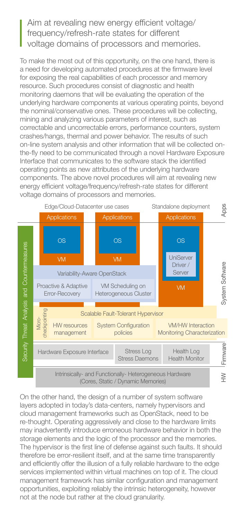## Aim at revealing new energy efficient voltage/ frequency/refresh-rate states for different voltage domains of processors and memories.

To make the most out of this opportunity, on the one hand, there is a need for developing automated procedures at the firmware level for exposing the real capabilities of each processor and memory resource. Such procedures consist of diagnostic and health monitoring daemons that will be evaluating the operation of the underlying hardware components at various operating points, beyond the nominal/conservative ones. These procedures will be collecting, mining and analyzing various parameters of interest, such as correctable and uncorrectable errors, performance counters, system crashes/hangs, thermal and power behavior. The results of such on-line system analysis and other information that will be collected onthe-fly need to be communicated through a novel Hardware Exposure Interface that communicates to the software stack the identified operating points as new attributes of the underlying hardware components. The above novel procedures will aim at revealing new energy efficient voltage/frequency/refresh-rate states for different voltage domains of processors and memories.



On the other hand, the design of a number of system software layers adopted in today's data-centers, namely hypervisors and cloud management frameworks such as OpenStack, need to be re-thought. Operating aggressively and close to the hardware limits may inadvertently introduce erroneous hardware behavior in both the storage elements and the logic of the processor and the memories. The hypervisor is the first line of defense against such faults. It should therefore be error-resilient itself, and at the same time transparently and efficiently offer the illusion of a fully reliable hardware to the edge services implemented within virtual machines on top of it. The cloud management framework has similar configuration and management opportunities, exploiting reliably the intrinsic heterogeneity, however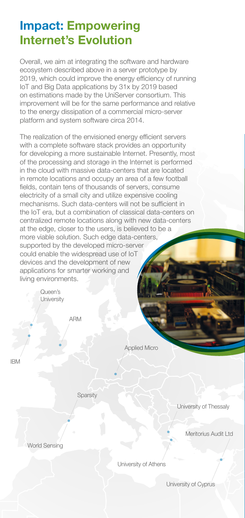## **Impact: Empowering Internet's Evolution**

Overall, we aim at integrating the software and hardware ecosystem described above in a server prototype by 2019, which could improve the energy efficiency of running IoT and Big Data applications by 31x by 2019 based on estimations made by the UniServer consortium. This improvement will be for the same performance and relative to the energy dissipation of a commercial micro-server platform and system software circa 2014.

The realization of the envisioned energy efficient servers with a complete software stack provides an opportunity for developing a more sustainable Internet. Presently, most of the processing and storage in the Internet is performed in the cloud with massive data-centers that are located in remote locations and occupy an area of a few football fields, contain tens of thousands of servers, consume electricity of a small city and utilize expensive cooling mechanisms. Such data-centers will not be sufficient in the IoT era, but a combination of classical data-centers on centralized remote locations along with new data-centers at the edge, closer to the users, is believed to be a more viable solution. Such edge data-centers, supported by the developed micro-server could enable the widespread use of IoT devices and the development of new applications for smarter working and living environments.

> ARM Queen's **University**

> > Applied Micro

IBM

**Sparsity** 

University of Thessaly

Meritorius Audit Ltd

World Sensing

University of Athens

University of Cyprus